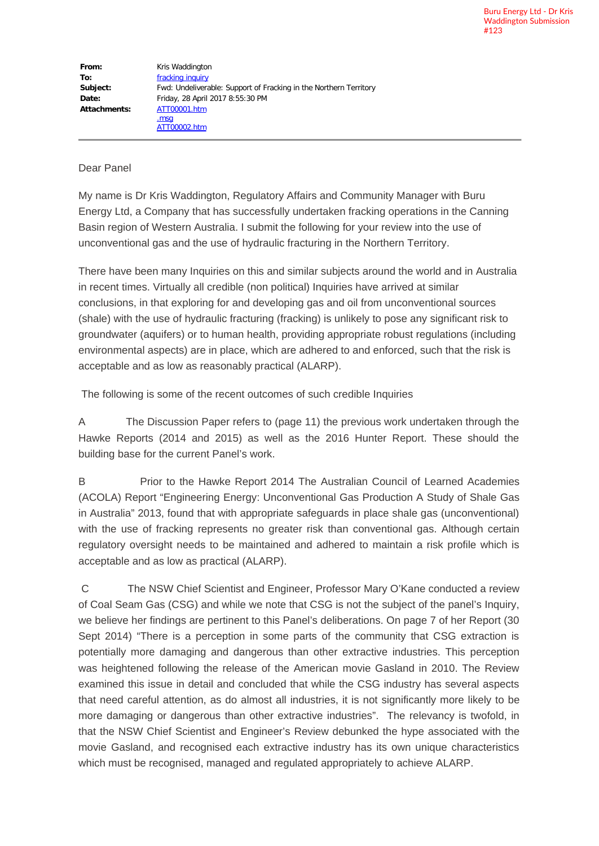## Dear Panel

My name is Dr Kris Waddington, Regulatory Affairs and Community Manager with Buru Energy Ltd, a Company that has successfully undertaken fracking operations in the Canning Basin region of Western Australia. I submit the following for your review into the use of unconventional gas and the use of hydraulic fracturing in the Northern Territory.

There have been many Inquiries on this and similar subjects around the world and in Australia in recent times. Virtually all credible (non political) Inquiries have arrived at similar conclusions, in that exploring for and developing gas and oil from unconventional sources (shale) with the use of hydraulic fracturing (fracking) is unlikely to pose any significant risk to groundwater (aquifers) or to human health, providing appropriate robust regulations (including environmental aspects) are in place, which are adhered to and enforced, such that the risk is acceptable and as low as reasonably practical (ALARP).

The following is some of the recent outcomes of such credible Inquiries

A The Discussion Paper refers to (page 11) the previous work undertaken through the Hawke Reports (2014 and 2015) as well as the 2016 Hunter Report. These should the building base for the current Panel's work.

B Prior to the Hawke Report 2014 The Australian Council of Learned Academies (ACOLA) Report "Engineering Energy: Unconventional Gas Production A Study of Shale Gas in Australia" 2013, found that with appropriate safeguards in place shale gas (unconventional) with the use of fracking represents no greater risk than conventional gas. Although certain regulatory oversight needs to be maintained and adhered to maintain a risk profile which is acceptable and as low as practical (ALARP).

C The NSW Chief Scientist and Engineer, Professor Mary O'Kane conducted a review of Coal Seam Gas (CSG) and while we note that CSG is not the subject of the panel's Inquiry, we believe her findings are pertinent to this Panel's deliberations. On page 7 of her Report (30 Sept 2014) "There is a perception in some parts of the community that CSG extraction is potentially more damaging and dangerous than other extractive industries. This perception was heightened following the release of the American movie Gasland in 2010. The Review examined this issue in detail and concluded that while the CSG industry has several aspects that need careful attention, as do almost all industries, it is not significantly more likely to be more damaging or dangerous than other extractive industries". The relevancy is twofold, in that the NSW Chief Scientist and Engineer's Review debunked the hype associated with the movie Gasland, and recognised each extractive industry has its own unique characteristics which must be recognised, managed and regulated appropriately to achieve ALARP.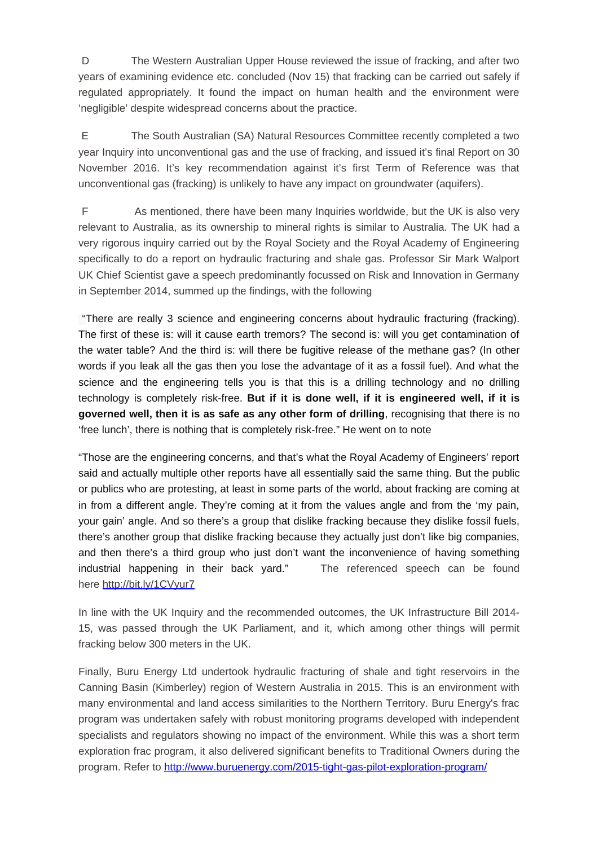D The Western Australian Upper House reviewed the issue of fracking, and after two years of examining evidence etc. concluded (Nov 15) that fracking can be carried out safely if regulated appropriately. It found the impact on human health and the environment were 'negligible' despite widespread concerns about the practice.

E The South Australian (SA) Natural Resources Committee recently completed a two year Inquiry into unconventional gas and the use of fracking, and issued it's final Report on 30 November 2016. It's key recommendation against it's first Term of Reference was that unconventional gas (fracking) is unlikely to have any impact on groundwater (aquifers).

F As mentioned, there have been many Inquiries worldwide, but the UK is also very relevant to Australia, as its ownership to mineral rights is similar to Australia. The UK had a very rigorous inquiry carried out by the Royal Society and the Royal Academy of Engineering specifically to do a report on hydraulic fracturing and shale gas. Professor Sir Mark Walport UK Chief Scientist gave a speech predominantly focussed on Risk and Innovation in Germany in September 2014, summed up the findings, with the following

"There are really 3 science and engineering concerns about hydraulic fracturing (fracking). The first of these is: will it cause earth tremors? The second is: will you get contamination of the water table? And the third is: will there be fugitive release of the methane gas? (In other words if you leak all the gas then you lose the advantage of it as a fossil fuel). And what the science and the engineering tells you is that this is a drilling technology and no drilling technology is completely risk-free. **But if it is done well, if it is engineered well, if it is governed well, then it is as safe as any other form of drilling**, recognising that there is no 'free lunch', there is nothing that is completely risk-free." He went on to note

"Those are the engineering concerns, and that's what the Royal Academy of Engineers' report said and actually multiple other reports have all essentially said the same thing. But the public or publics who are protesting, at least in some parts of the world, about fracking are coming at in from a different angle. They're coming at it from the values angle and from the 'my pain, your gain' angle. And so there's a group that dislike fracking because they dislike fossil fuels, there's another group that dislike fracking because they actually just don't like big companies, and then there's a third group who just don't want the inconvenience of having something industrial happening in their back yard." The referenced speech can be found here [http://bit.ly/1CVyur7](http://pesa.us9.list-manage2.com/track/click?u=6ccd42798cb22f546274936b3&id=158a364db0&e=e212e991f6)

In line with the UK Inquiry and the recommended outcomes, the UK Infrastructure Bill 2014- 15, was passed through the UK Parliament, and it, which among other things will permit fracking below 300 meters in the UK.

Finally, Buru Energy Ltd undertook hydraulic fracturing of shale and tight reservoirs in the Canning Basin (Kimberley) region of Western Australia in 2015. This is an environment with many environmental and land access similarities to the Northern Territory. Buru Energy's frac program was undertaken safely with robust monitoring programs developed with independent specialists and regulators showing no impact of the environment. While this was a short term exploration frac program, it also delivered significant benefits to Traditional Owners during the program. Refer to<http://www.buruenergy.com/2015-tight-gas-pilot-exploration-program/>